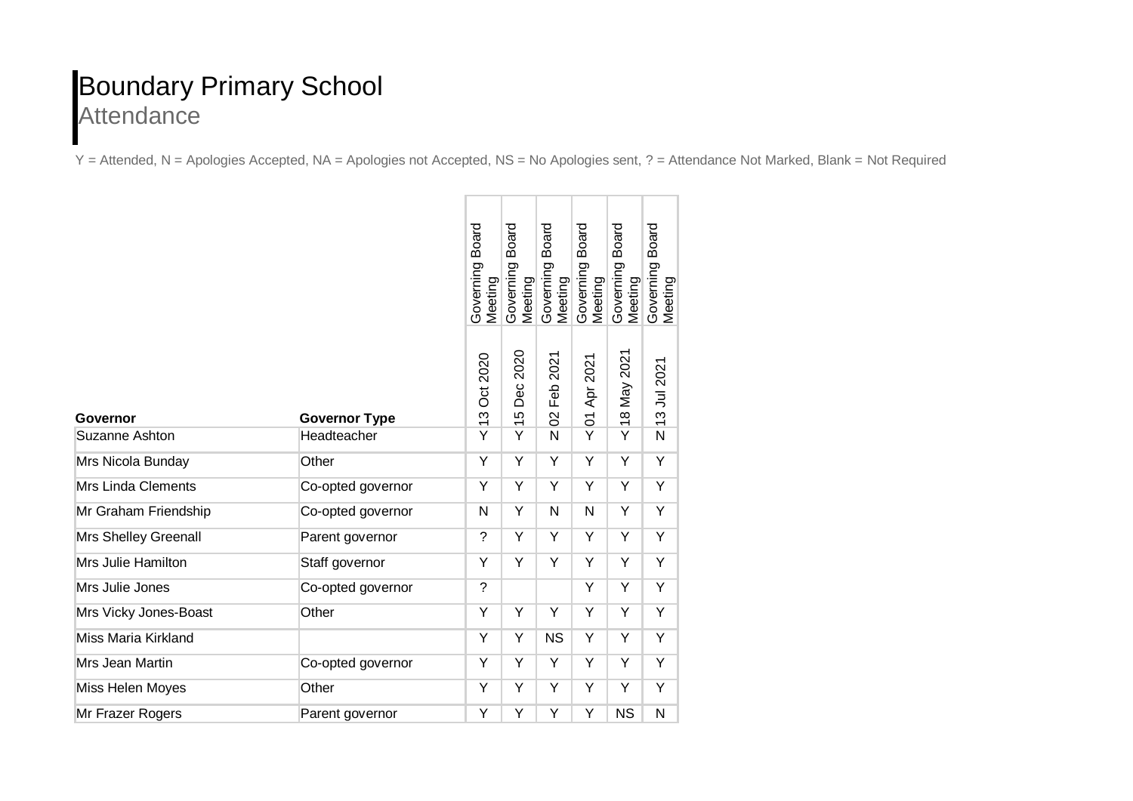## Boundary Primary School **Attendance**

Y = Attended, N = Apologies Accepted, NA = Apologies not Accepted, NS = No Apologies sent, ? = Attendance Not Marked, Blank = Not Required

|                           |                      | <b>Board</b><br>Governing<br>Meeting | <b>Board</b><br>Governing<br>Meeting                 | <b>Board</b><br>Governing<br>Meeting | Board<br>Governing<br>Meeting | <b>Board</b><br>Governing<br>Meeting | <b>Board</b><br>Governing<br>Meeting |
|---------------------------|----------------------|--------------------------------------|------------------------------------------------------|--------------------------------------|-------------------------------|--------------------------------------|--------------------------------------|
| <b>Governor</b>           | <b>Governor Type</b> | <b>Oct 2020</b><br>$\frac{3}{2}$     | 2020<br>Dec<br><b>LO</b><br>$\overline{\phantom{0}}$ | 2021<br>Feb<br>$\mathcal{S}$         | 01 Apr 2021                   | 18 May 2021                          | 13 Jul 2021                          |
| <b>Suzanne Ashton</b>     | Headteacher          | $\overline{Y}$                       | Y                                                    | N                                    | $\overline{Y}$                | Ÿ                                    | $\overline{\mathsf{N}}$              |
| Mrs Nicola Bunday         | Other                | Y                                    | Y                                                    | Y                                    | Y                             | Y                                    | Y                                    |
| <b>Mrs Linda Clements</b> | Co-opted governor    | Υ                                    | Υ                                                    | Y                                    | Y                             | Υ                                    | Υ                                    |
| Mr Graham Friendship      | Co-opted governor    | N                                    | Ÿ                                                    | N                                    | N                             | Ÿ                                    | Ÿ                                    |
| Mrs Shelley Greenall      | Parent governor      | $\tilde{?}$                          | Y                                                    | Y                                    | Y                             | Y                                    | Υ                                    |
| Mrs Julie Hamilton        | Staff governor       | Y                                    | Y                                                    | Y                                    | Y                             | Υ                                    | Υ                                    |
| Mrs Julie Jones           | Co-opted governor    | $\tilde{?}$                          |                                                      |                                      | Y                             | Y                                    | Y                                    |
| Mrs Vicky Jones-Boast     | Other                | Y                                    | Υ                                                    | Υ                                    | Y                             | Υ                                    | Υ                                    |
| Miss Maria Kirkland       |                      | Y                                    | Y                                                    | <b>NS</b>                            | Y                             | Y                                    | Y                                    |
| Mrs Jean Martin           | Co-opted governor    | Y                                    | Y                                                    | Υ                                    | Y                             | Y                                    | Υ                                    |
| Miss Helen Moyes          | Other                | Y                                    | Υ                                                    | Υ                                    | Y                             | Υ                                    | Υ                                    |
| Mr Frazer Rogers          | Parent governor      | Y                                    | Y                                                    | Y                                    | Y                             | <b>NS</b>                            | N                                    |